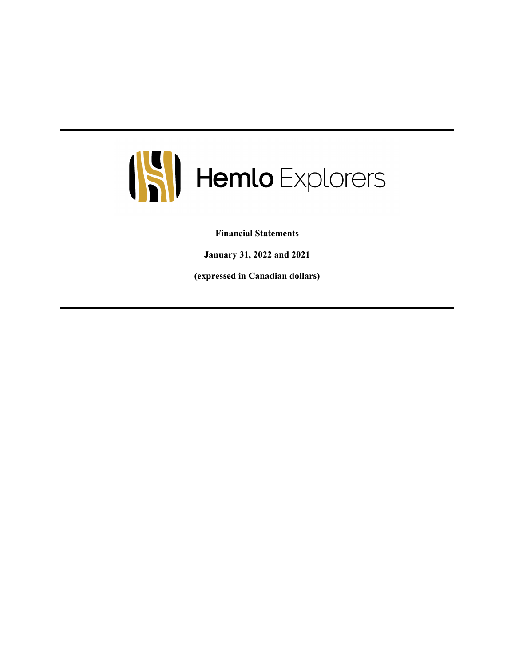

**Financial Statements**

**January 31, 2022 and 2021**

**(expressed in Canadian dollars)**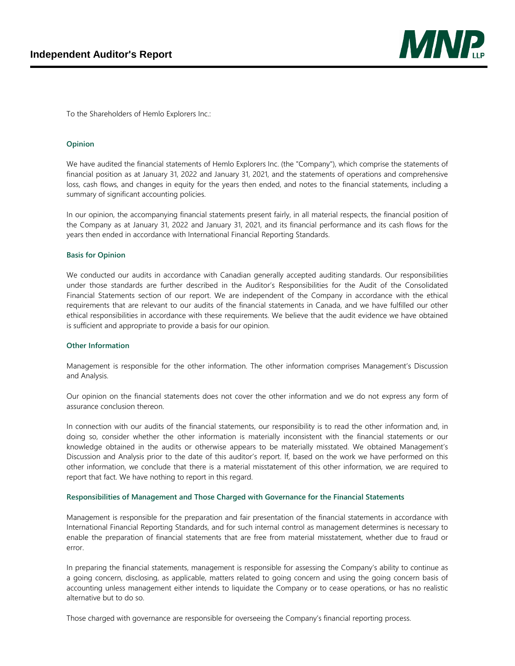

To the Shareholders of Hemlo Explorers Inc.:

#### **Opinion**

We have audited the financial statements of Hemlo Explorers Inc. (the "Company"), which comprise the statements of financial position as at January 31, 2022 and January 31, 2021, and the statements of operations and comprehensive loss, cash flows, and changes in equity for the years then ended, and notes to the financial statements, including a summary of significant accounting policies.

In our opinion, the accompanying financial statements present fairly, in all material respects, the financial position of the Company as at January 31, 2022 and January 31, 2021, and its financial performance and its cash flows for the years then ended in accordance with International Financial Reporting Standards.

#### **Basis for Opinion**

We conducted our audits in accordance with Canadian generally accepted auditing standards. Our responsibilities under those standards are further described in the Auditor's Responsibilities for the Audit of the Consolidated Financial Statements section of our report. We are independent of the Company in accordance with the ethical requirements that are relevant to our audits of the financial statements in Canada, and we have fulfilled our other ethical responsibilities in accordance with these requirements. We believe that the audit evidence we have obtained is sufficient and appropriate to provide a basis for our opinion.

#### **Other Information**

Management is responsible for the other information. The other information comprises Management's Discussion and Analysis.

Our opinion on the financial statements does not cover the other information and we do not express any form of assurance conclusion thereon.

In connection with our audits of the financial statements, our responsibility is to read the other information and, in doing so, consider whether the other information is materially inconsistent with the financial statements or our knowledge obtained in the audits or otherwise appears to be materially misstated. We obtained Management's Discussion and Analysis prior to the date of this auditor's report. If, based on the work we have performed on this other information, we conclude that there is a material misstatement of this other information, we are required to report that fact. We have nothing to report in this regard.

#### **Responsibilities of Management and Those Charged with Governance for the Financial Statements**

Management is responsible for the preparation and fair presentation of the financial statements in accordance with International Financial Reporting Standards, and for such internal control as management determines is necessary to enable the preparation of financial statements that are free from material misstatement, whether due to fraud or error.

In preparing the financial statements, management is responsible for assessing the Company's ability to continue as a going concern, disclosing, as applicable, matters related to going concern and using the going concern basis of accounting unless management either intends to liquidate the Company or to cease operations, or has no realistic alternative but to do so.

Those charged with governance are responsible for overseeing the Company's financial reporting process.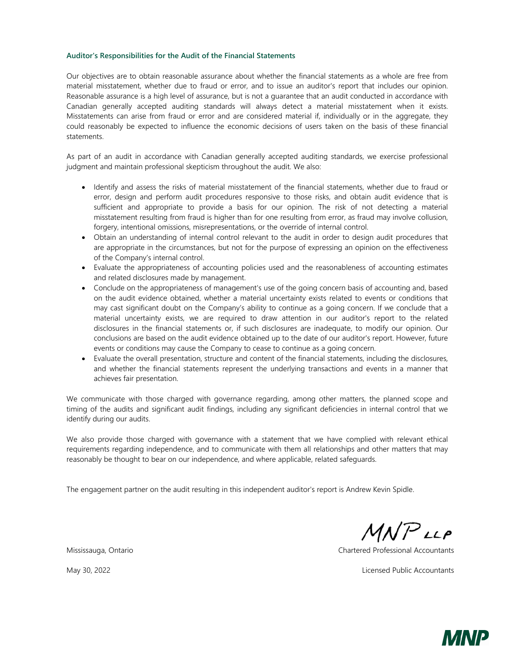#### **Auditor's Responsibilities for the Audit of the Financial Statements**

Our objectives are to obtain reasonable assurance about whether the financial statements as a whole are free from material misstatement, whether due to fraud or error, and to issue an auditor's report that includes our opinion. Reasonable assurance is a high level of assurance, but is not a guarantee that an audit conducted in accordance with Canadian generally accepted auditing standards will always detect a material misstatement when it exists. Misstatements can arise from fraud or error and are considered material if, individually or in the aggregate, they could reasonably be expected to influence the economic decisions of users taken on the basis of these financial statements.

As part of an audit in accordance with Canadian generally accepted auditing standards, we exercise professional judgment and maintain professional skepticism throughout the audit. We also:

- Identify and assess the risks of material misstatement of the financial statements, whether due to fraud or error, design and perform audit procedures responsive to those risks, and obtain audit evidence that is sufficient and appropriate to provide a basis for our opinion. The risk of not detecting a material misstatement resulting from fraud is higher than for one resulting from error, as fraud may involve collusion, forgery, intentional omissions, misrepresentations, or the override of internal control.
- Obtain an understanding of internal control relevant to the audit in order to design audit procedures that are appropriate in the circumstances, but not for the purpose of expressing an opinion on the effectiveness of the Company's internal control.
- Evaluate the appropriateness of accounting policies used and the reasonableness of accounting estimates and related disclosures made by management.
- Conclude on the appropriateness of management's use of the going concern basis of accounting and, based on the audit evidence obtained, whether a material uncertainty exists related to events or conditions that may cast significant doubt on the Company's ability to continue as a going concern. If we conclude that a material uncertainty exists, we are required to draw attention in our auditor's report to the related disclosures in the financial statements or, if such disclosures are inadequate, to modify our opinion. Our conclusions are based on the audit evidence obtained up to the date of our auditor's report. However, future events or conditions may cause the Company to cease to continue as a going concern.
- Evaluate the overall presentation, structure and content of the financial statements, including the disclosures, and whether the financial statements represent the underlying transactions and events in a manner that achieves fair presentation.

We communicate with those charged with governance regarding, among other matters, the planned scope and timing of the audits and significant audit findings, including any significant deficiencies in internal control that we identify during our audits.

We also provide those charged with governance with a statement that we have complied with relevant ethical requirements regarding independence, and to communicate with them all relationships and other matters that may reasonably be thought to bear on our independence, and where applicable, related safeguards.

The engagement partner on the audit resulting in this independent auditor's report is Andrew Kevin Spidle.

 $MNP$ LLP

Mississauga, Ontario Chartered Professional Accountants

May 30, 2022 Licensed Public Accountants

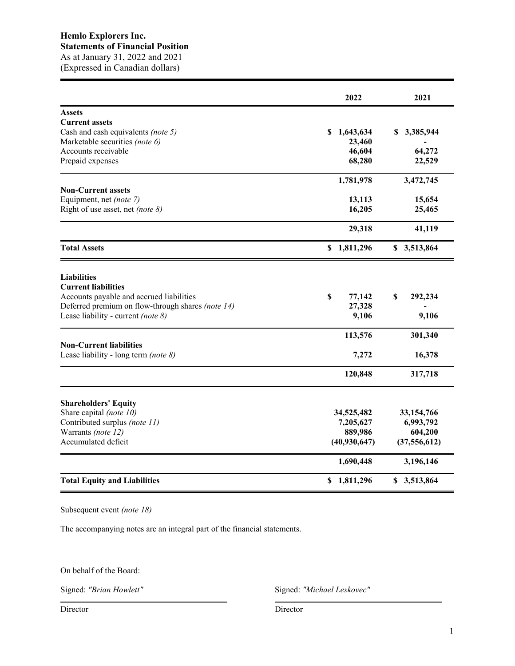(Expressed in Canadian dollars)

|                                                                                               | 2022                   | 2021           |
|-----------------------------------------------------------------------------------------------|------------------------|----------------|
| <b>Assets</b>                                                                                 |                        |                |
| <b>Current assets</b>                                                                         |                        |                |
| Cash and cash equivalents (note 5)                                                            | 1,643,634<br>S.        | 3,385,944<br>S |
| Marketable securities (note 6)                                                                | 23,460                 |                |
| Accounts receivable                                                                           | 46,604                 | 64,272         |
| Prepaid expenses                                                                              | 68,280                 | 22,529         |
|                                                                                               | 1,781,978              | 3,472,745      |
| <b>Non-Current assets</b>                                                                     |                        |                |
| Equipment, net (note 7)                                                                       | 13,113                 | 15,654         |
| Right of use asset, net (note 8)                                                              | 16,205                 | 25,465         |
|                                                                                               | 29,318                 | 41,119         |
| <b>Total Assets</b>                                                                           | \$1,811,296            | \$3,513,864    |
| <b>Liabilities</b>                                                                            |                        |                |
| <b>Current liabilities</b>                                                                    |                        |                |
| Accounts payable and accrued liabilities<br>Deferred premium on flow-through shares (note 14) | \$<br>77,142<br>27,328 | \$<br>292,234  |
| Lease liability - current (note 8)                                                            | 9,106                  | 9,106          |
|                                                                                               |                        |                |
|                                                                                               | 113,576                | 301,340        |
| <b>Non-Current liabilities</b><br>Lease liability - long term (note 8)                        | 7,272                  | 16,378         |
|                                                                                               | 120,848                | 317,718        |
| <b>Shareholders' Equity</b>                                                                   |                        |                |
| Share capital (note 10)                                                                       | 34,525,482             | 33,154,766     |
| Contributed surplus (note 11)                                                                 | 7,205,627              | 6,993,792      |
| Warrants (note 12)                                                                            | 889,986                | 604,200        |
| Accumulated deficit                                                                           | (40, 930, 647)         | (37, 556, 612) |
|                                                                                               | 1,690,448              | 3,196,146      |
| <b>Total Equity and Liabilities</b>                                                           | \$1,811,296            | \$3,513,864    |

Subsequent event *(note 18)*

The accompanying notes are an integral part of the financial statements.

On behalf of the Board:

Signed: *"Brian Howlett"* Signed: *"Michael Leskovec"*

Director Director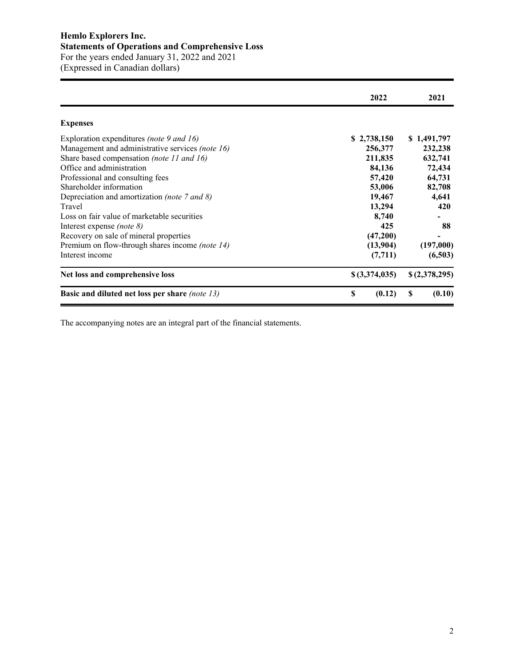# **Hemlo Explorers Inc. Statements of Operations and Comprehensive Loss** For the years ended January 31, 2022 and 2021 (Expressed in Canadian dollars)

|                                                       | 2022           | 2021          |
|-------------------------------------------------------|----------------|---------------|
| <b>Expenses</b>                                       |                |               |
| Exploration expenditures (note 9 and 16)              | \$2,738,150    | \$1,491,797   |
| Management and administrative services (note 16)      | 256,377        | 232,238       |
| Share based compensation (note 11 and 16)             | 211,835        | 632,741       |
| Office and administration                             | 84,136         | 72,434        |
| Professional and consulting fees                      | 57,420         | 64,731        |
| Shareholder information                               | 53,006         | 82,708        |
| Depreciation and amortization <i>(note 7 and 8)</i>   | 19,467         | 4,641         |
| Travel                                                | 13,294         | 420           |
| Loss on fair value of marketable securities           | 8,740          |               |
| Interest expense <i>(note 8)</i>                      | 425            | 88            |
| Recovery on sale of mineral properties                | (47,200)       |               |
| Premium on flow-through shares income (note 14)       | (13,904)       | (197,000)     |
| Interest income                                       | (7, 711)       | (6,503)       |
| Net loss and comprehensive loss                       | \$ (3,374,035) | \$(2,378,295) |
| <b>Basic and diluted net loss per share (note 13)</b> | \$<br>(0.12)   | (0.10)<br>S   |

The accompanying notes are an integral part of the financial statements.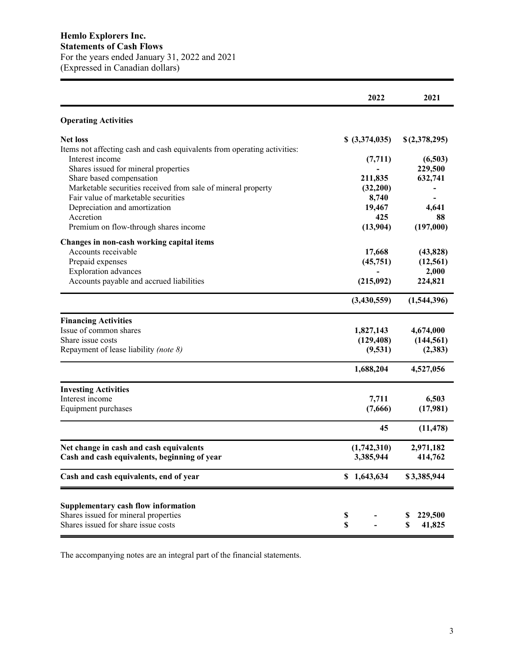|                                                                             | 2022           | 2021          |
|-----------------------------------------------------------------------------|----------------|---------------|
| <b>Operating Activities</b>                                                 |                |               |
| <b>Net loss</b>                                                             | \$ (3,374,035) | \$(2,378,295) |
| Items not affecting cash and cash equivalents from operating activities:    |                |               |
| Interest income                                                             | (7, 711)       | (6,503)       |
| Shares issued for mineral properties                                        |                | 229,500       |
| Share based compensation                                                    | 211,835        | 632,741       |
| Marketable securities received from sale of mineral property                | (32,200)       |               |
| Fair value of marketable securities                                         | 8,740          |               |
| Depreciation and amortization                                               | 19,467         | 4,641         |
| Accretion                                                                   | 425            | 88            |
| Premium on flow-through shares income                                       | (13,904)       | (197,000)     |
| Changes in non-cash working capital items                                   |                |               |
| Accounts receivable                                                         | 17,668         | (43, 828)     |
| Prepaid expenses                                                            | (45,751)       | (12, 561)     |
| <b>Exploration</b> advances                                                 |                | 2,000         |
| Accounts payable and accrued liabilities                                    | (215,092)      | 224,821       |
|                                                                             | (3,430,559)    | (1,544,396)   |
| <b>Financing Activities</b>                                                 |                |               |
| Issue of common shares                                                      | 1,827,143      | 4,674,000     |
| Share issue costs                                                           | (129, 408)     | (144, 561)    |
| Repayment of lease liability (note 8)                                       | (9,531)        | (2,383)       |
|                                                                             | 1,688,204      | 4,527,056     |
| <b>Investing Activities</b>                                                 |                |               |
| Interest income                                                             | 7,711          | 6,503         |
| Equipment purchases                                                         | (7,666)        | (17,981)      |
|                                                                             | 45             | (11, 478)     |
| Net change in cash and cash equivalents                                     | (1,742,310)    | 2,971,182     |
| Cash and cash equivalents, beginning of year                                | 3,385,944      | 414,762       |
| Cash and cash equivalents, end of year                                      | \$1,643,634    | \$3,385,944   |
|                                                                             |                |               |
| <b>Supplementary cash flow information</b>                                  |                |               |
| Shares issued for mineral properties<br>Shares issued for share issue costs | \$             | 229,500       |
|                                                                             | \$             | 41,825<br>S   |

The accompanying notes are an integral part of the financial statements.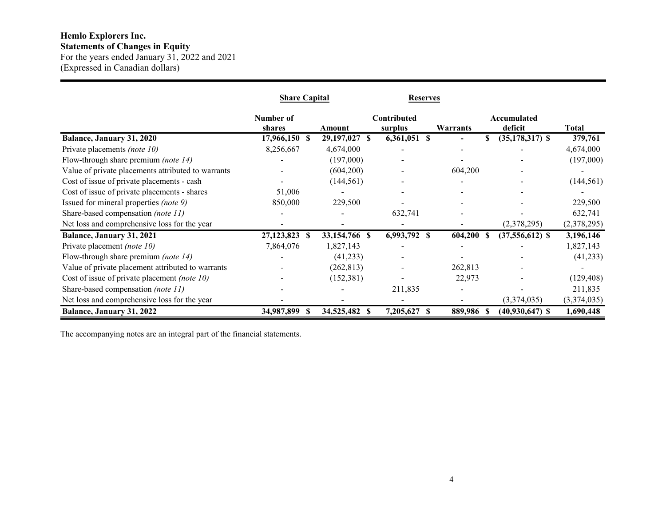# **Hemlo Explorers Inc.**

**Statements of Changes in Equity** For the years ended January 31, 2022 and 2021

(Expressed in Canadian dollars)

|                                                    | <b>Share Capital</b> |                  | <b>Reserves</b>        |            |                           |             |
|----------------------------------------------------|----------------------|------------------|------------------------|------------|---------------------------|-------------|
|                                                    | Number of<br>shares  | Amount           | Contributed<br>surplus | Warrants   | Accumulated<br>deficit    | Total       |
| Balance, January 31, 2020                          | 17,966,150 \$        | 29,197,027 \$    | $6,361,051$ \$         |            | \$<br>$(35, 178, 317)$ \$ | 379,761     |
| Private placements (note 10)                       | 8,256,667            | 4,674,000        |                        |            |                           | 4,674,000   |
| Flow-through share premium (note 14)               |                      | (197,000)        |                        |            |                           | (197,000)   |
| Value of private placements attributed to warrants |                      | (604, 200)       |                        | 604,200    |                           |             |
| Cost of issue of private placements - cash         |                      | (144, 561)       |                        |            |                           | (144, 561)  |
| Cost of issue of private placements - shares       | 51,006               |                  |                        |            |                           |             |
| Issued for mineral properties (note 9)             | 850,000              | 229,500          |                        |            |                           | 229,500     |
| Share-based compensation (note 11)                 |                      |                  | 632,741                |            |                           | 632,741     |
| Net loss and comprehensive loss for the year       |                      |                  |                        |            | (2,378,295)               | (2,378,295) |
| Balance, January 31, 2021                          | 27,123,823 \$        | 33,154,766 \$    | 6,993,792 \$           | 604,200 \$ | $(37,556,612)$ \$         | 3,196,146   |
| Private placement (note 10)                        | 7,864,076            | 1,827,143        |                        |            |                           | 1,827,143   |
| Flow-through share premium <i>(note 14)</i>        |                      | (41,233)         |                        |            |                           | (41,233)    |
| Value of private placement attributed to warrants  |                      | (262, 813)       |                        | 262,813    |                           |             |
| Cost of issue of private placement (note 10)       |                      | (152, 381)       |                        | 22,973     |                           | (129, 408)  |
| Share-based compensation (note 11)                 |                      |                  | 211,835                |            |                           | 211,835     |
| Net loss and comprehensive loss for the year       |                      |                  |                        |            | (3,374,035)               | (3,374,035) |
| Balance, January 31, 2022                          | 34,987,899<br>-SS    | 34,525,482<br>-S | 7,205,627<br>-S        | 889,986 \$ | $(40, 930, 647)$ \$       | 1,690,448   |

The accompanying notes are an integral part of the financial statements.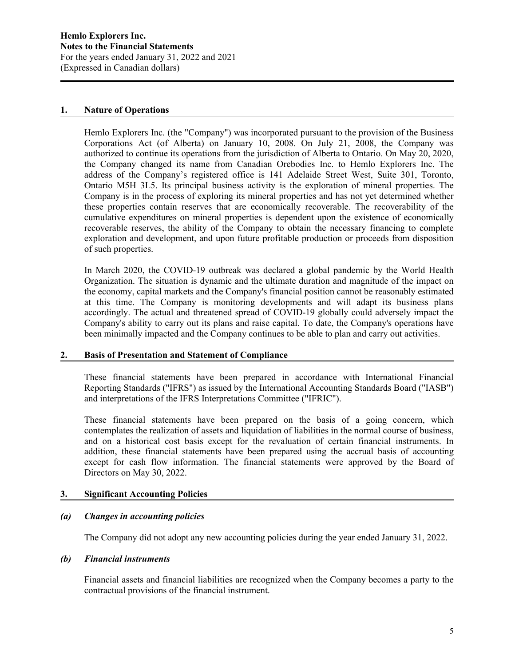#### **1. Nature of Operations**

Hemlo Explorers Inc. (the "Company") was incorporated pursuant to the provision of the Business Corporations Act (of Alberta) on January 10, 2008. On July 21, 2008, the Company was authorized to continue its operations from the jurisdiction of Alberta to Ontario. On May 20, 2020, the Company changed its name from Canadian Orebodies Inc. to Hemlo Explorers Inc. The address of the Company's registered office is 141 Adelaide Street West, Suite 301, Toronto, Ontario M5H 3L5. Its principal business activity is the exploration of mineral properties. The Company is in the process of exploring its mineral properties and has not yet determined whether these properties contain reserves that are economically recoverable. The recoverability of the cumulative expenditures on mineral properties is dependent upon the existence of economically recoverable reserves, the ability of the Company to obtain the necessary financing to complete exploration and development, and upon future profitable production or proceeds from disposition of such properties.

In March 2020, the COVID-19 outbreak was declared a global pandemic by the World Health Organization. The situation is dynamic and the ultimate duration and magnitude of the impact on the economy, capital markets and the Company's financial position cannot be reasonably estimated at this time. The Company is monitoring developments and will adapt its business plans accordingly. The actual and threatened spread of COVID-19 globally could adversely impact the Company's ability to carry out its plans and raise capital. To date, the Company's operations have been minimally impacted and the Company continues to be able to plan and carry out activities.

#### **2. Basis of Presentation and Statement of Compliance**

These financial statements have been prepared in accordance with International Financial Reporting Standards ("IFRS") as issued by the International Accounting Standards Board ("IASB") and interpretations of the IFRS Interpretations Committee ("IFRIC").

These financial statements have been prepared on the basis of a going concern, which contemplates the realization of assets and liquidation of liabilities in the normal course of business, and on a historical cost basis except for the revaluation of certain financial instruments. In addition, these financial statements have been prepared using the accrual basis of accounting except for cash flow information. The financial statements were approved by the Board of Directors on May 30, 2022.

## **3. Significant Accounting Policies**

## *(a) Changes in accounting policies*

The Company did not adopt any new accounting policies during the year ended January 31, 2022.

#### *(b) Financial instruments*

Financial assets and financial liabilities are recognized when the Company becomes a party to the contractual provisions of the financial instrument.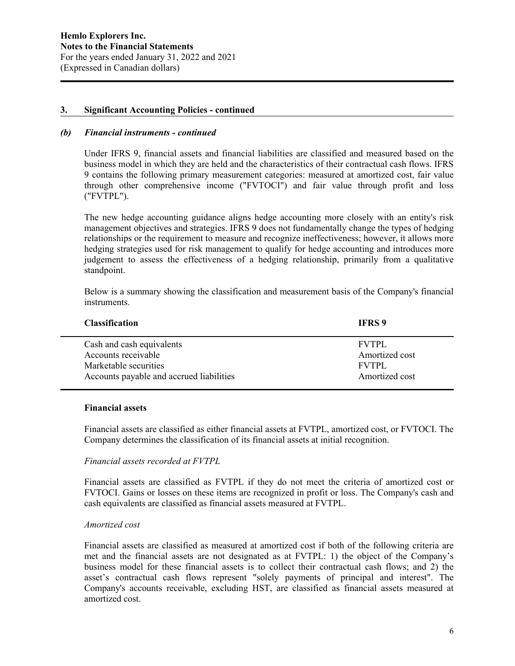#### *(b) Financial instruments - continued*

Under IFRS 9, financial assets and financial liabilities are classified and measured based on the business model in which they are held and the characteristics of their contractual cash flows. IFRS 9 contains the following primary measurement categories: measured at amortized cost, fair value through other comprehensive income ("FVTOCI") and fair value through profit and loss ("FVTPL").

The new hedge accounting guidance aligns hedge accounting more closely with an entity's risk management objectives and strategies. IFRS 9 does not fundamentally change the types of hedging relationships or the requirement to measure and recognize ineffectiveness; however, it allows more hedging strategies used for risk management to qualify for hedge accounting and introduces more judgement to assess the effectiveness of a hedging relationship, primarily from a qualitative standpoint.

Below is a summary showing the classification and measurement basis of the Company's financial instruments.

| <b>Classification</b>                    | <b>IFRS</b> 9  |
|------------------------------------------|----------------|
| Cash and cash equivalents                | <b>FVTPL</b>   |
| Accounts receivable                      | Amortized cost |
| Marketable securities                    | <b>FVTPL</b>   |
| Accounts payable and accrued liabilities | Amortized cost |

#### **Financial assets**

Financial assets are classified as either financial assets at FVTPL, amortized cost, or FVTOCI. The Company determines the classification of its financial assets at initial recognition.

#### *Financial assets recorded at FVTPL*

Financial assets are classified as FVTPL if they do not meet the criteria of amortized cost or FVTOCI. Gains or losses on these items are recognized in profit or loss. The Company's cash and cash equivalents are classified as financial assets measured at FVTPL.

#### *Amortized cost*

Financial assets are classified as measured at amortized cost if both of the following criteria are met and the financial assets are not designated as at FVTPL: 1) the object of the Company's business model for these financial assets is to collect their contractual cash flows; and 2) the asset's contractual cash flows represent "solely payments of principal and interest". The Company's accounts receivable, excluding HST, are classified as financial assets measured at amortized cost.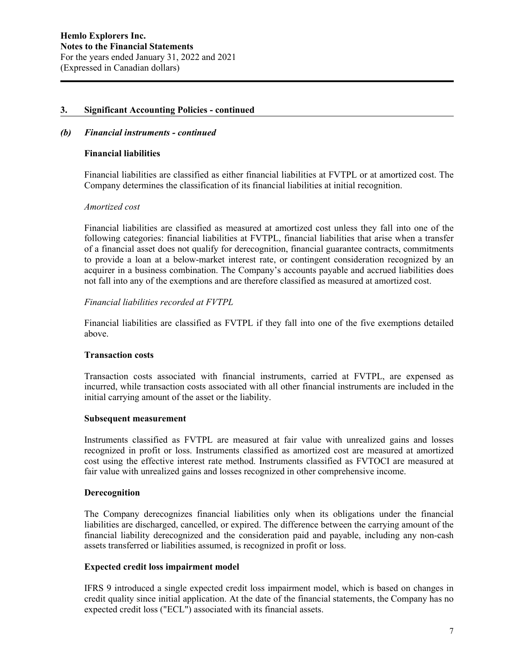### *(b) Financial instruments - continued*

### **Financial liabilities**

Financial liabilities are classified as either financial liabilities at FVTPL or at amortized cost. The Company determines the classification of its financial liabilities at initial recognition.

### *Amortized cost*

Financial liabilities are classified as measured at amortized cost unless they fall into one of the following categories: financial liabilities at FVTPL, financial liabilities that arise when a transfer of a financial asset does not qualify for derecognition, financial guarantee contracts, commitments to provide a loan at a below-market interest rate, or contingent consideration recognized by an acquirer in a business combination. The Company's accounts payable and accrued liabilities does not fall into any of the exemptions and are therefore classified as measured at amortized cost.

## *Financial liabilities recorded at FVTPL*

Financial liabilities are classified as FVTPL if they fall into one of the five exemptions detailed above.

#### **Transaction costs**

Transaction costs associated with financial instruments, carried at FVTPL, are expensed as incurred, while transaction costs associated with all other financial instruments are included in the initial carrying amount of the asset or the liability.

#### **Subsequent measurement**

Instruments classified as FVTPL are measured at fair value with unrealized gains and losses recognized in profit or loss. Instruments classified as amortized cost are measured at amortized cost using the effective interest rate method. Instruments classified as FVTOCI are measured at fair value with unrealized gains and losses recognized in other comprehensive income.

#### **Derecognition**

The Company derecognizes financial liabilities only when its obligations under the financial liabilities are discharged, cancelled, or expired. The difference between the carrying amount of the financial liability derecognized and the consideration paid and payable, including any non-cash assets transferred or liabilities assumed, is recognized in profit or loss.

#### **Expected credit loss impairment model**

IFRS 9 introduced a single expected credit loss impairment model, which is based on changes in credit quality since initial application. At the date of the financial statements, the Company has no expected credit loss ("ECL") associated with its financial assets.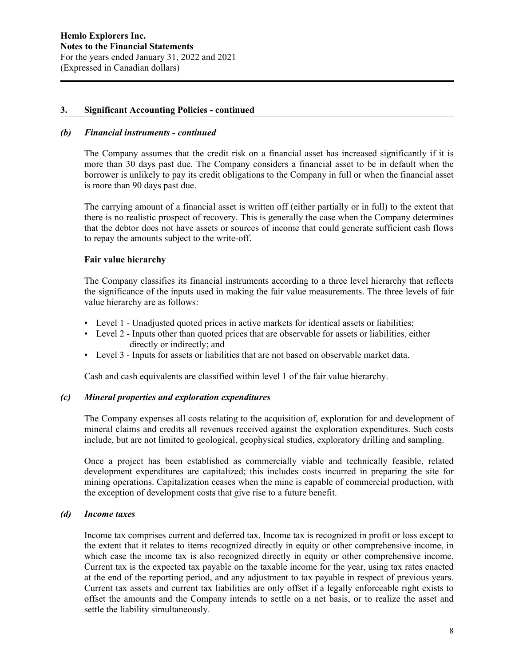#### *(b) Financial instruments - continued*

The Company assumes that the credit risk on a financial asset has increased significantly if it is more than 30 days past due. The Company considers a financial asset to be in default when the borrower is unlikely to pay its credit obligations to the Company in full or when the financial asset is more than 90 days past due.

The carrying amount of a financial asset is written off (either partially or in full) to the extent that there is no realistic prospect of recovery. This is generally the case when the Company determines that the debtor does not have assets or sources of income that could generate sufficient cash flows to repay the amounts subject to the write-off.

### **Fair value hierarchy**

The Company classifies its financial instruments according to a three level hierarchy that reflects the significance of the inputs used in making the fair value measurements. The three levels of fair value hierarchy are as follows:

- Level 1 Unadjusted quoted prices in active markets for identical assets or liabilities;
- Level 2 Inputs other than quoted prices that are observable for assets or liabilities, either directly or indirectly; and
- Level 3 Inputs for assets or liabilities that are not based on observable market data.

Cash and cash equivalents are classified within level 1 of the fair value hierarchy.

#### *(c) Mineral properties and exploration expenditures*

The Company expenses all costs relating to the acquisition of, exploration for and development of mineral claims and credits all revenues received against the exploration expenditures. Such costs include, but are not limited to geological, geophysical studies, exploratory drilling and sampling.

Once a project has been established as commercially viable and technically feasible, related development expenditures are capitalized; this includes costs incurred in preparing the site for mining operations. Capitalization ceases when the mine is capable of commercial production, with the exception of development costs that give rise to a future benefit.

#### *(d) Income taxes*

Income tax comprises current and deferred tax. Income tax is recognized in profit or loss except to the extent that it relates to items recognized directly in equity or other comprehensive income, in which case the income tax is also recognized directly in equity or other comprehensive income. Current tax is the expected tax payable on the taxable income for the year, using tax rates enacted at the end of the reporting period, and any adjustment to tax payable in respect of previous years. Current tax assets and current tax liabilities are only offset if a legally enforceable right exists to offset the amounts and the Company intends to settle on a net basis, or to realize the asset and settle the liability simultaneously.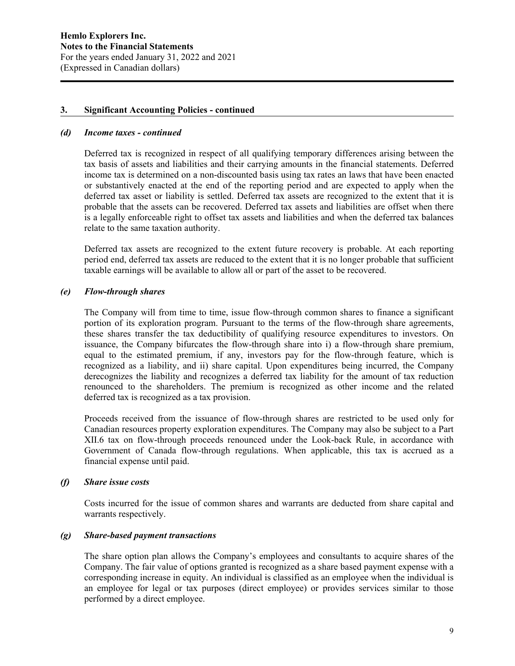#### *(d) Income taxes - continued*

Deferred tax is recognized in respect of all qualifying temporary differences arising between the tax basis of assets and liabilities and their carrying amounts in the financial statements. Deferred income tax is determined on a non-discounted basis using tax rates an laws that have been enacted or substantively enacted at the end of the reporting period and are expected to apply when the deferred tax asset or liability is settled. Deferred tax assets are recognized to the extent that it is probable that the assets can be recovered. Deferred tax assets and liabilities are offset when there is a legally enforceable right to offset tax assets and liabilities and when the deferred tax balances relate to the same taxation authority.

Deferred tax assets are recognized to the extent future recovery is probable. At each reporting period end, deferred tax assets are reduced to the extent that it is no longer probable that sufficient taxable earnings will be available to allow all or part of the asset to be recovered.

### *(e) Flow-through shares*

The Company will from time to time, issue flow-through common shares to finance a significant portion of its exploration program. Pursuant to the terms of the flow-through share agreements, these shares transfer the tax deductibility of qualifying resource expenditures to investors. On issuance, the Company bifurcates the flow-through share into i) a flow-through share premium, equal to the estimated premium, if any, investors pay for the flow-through feature, which is recognized as a liability, and ii) share capital. Upon expenditures being incurred, the Company derecognizes the liability and recognizes a deferred tax liability for the amount of tax reduction renounced to the shareholders. The premium is recognized as other income and the related deferred tax is recognized as a tax provision.

Proceeds received from the issuance of flow-through shares are restricted to be used only for Canadian resources property exploration expenditures. The Company may also be subject to a Part XII.6 tax on flow-through proceeds renounced under the Look-back Rule, in accordance with Government of Canada flow-through regulations. When applicable, this tax is accrued as a financial expense until paid.

#### *(f) Share issue costs*

Costs incurred for the issue of common shares and warrants are deducted from share capital and warrants respectively.

# *(g) Share-based payment transactions*

The share option plan allows the Company's employees and consultants to acquire shares of the Company. The fair value of options granted is recognized as a share based payment expense with a corresponding increase in equity. An individual is classified as an employee when the individual is an employee for legal or tax purposes (direct employee) or provides services similar to those performed by a direct employee.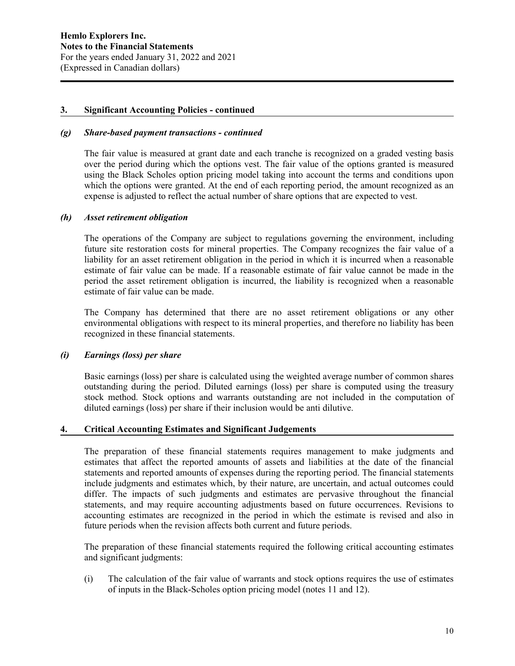#### *(g) Share-based payment transactions - continued*

The fair value is measured at grant date and each tranche is recognized on a graded vesting basis over the period during which the options vest. The fair value of the options granted is measured using the Black Scholes option pricing model taking into account the terms and conditions upon which the options were granted. At the end of each reporting period, the amount recognized as an expense is adjusted to reflect the actual number of share options that are expected to vest.

### *(h) Asset retirement obligation*

The operations of the Company are subject to regulations governing the environment, including future site restoration costs for mineral properties. The Company recognizes the fair value of a liability for an asset retirement obligation in the period in which it is incurred when a reasonable estimate of fair value can be made. If a reasonable estimate of fair value cannot be made in the period the asset retirement obligation is incurred, the liability is recognized when a reasonable estimate of fair value can be made.

The Company has determined that there are no asset retirement obligations or any other environmental obligations with respect to its mineral properties, and therefore no liability has been recognized in these financial statements.

#### *(i) Earnings (loss) per share*

Basic earnings (loss) per share is calculated using the weighted average number of common shares outstanding during the period. Diluted earnings (loss) per share is computed using the treasury stock method. Stock options and warrants outstanding are not included in the computation of diluted earnings (loss) per share if their inclusion would be anti dilutive.

#### **4. Critical Accounting Estimates and Significant Judgements**

The preparation of these financial statements requires management to make judgments and estimates that affect the reported amounts of assets and liabilities at the date of the financial statements and reported amounts of expenses during the reporting period. The financial statements include judgments and estimates which, by their nature, are uncertain, and actual outcomes could differ. The impacts of such judgments and estimates are pervasive throughout the financial statements, and may require accounting adjustments based on future occurrences. Revisions to accounting estimates are recognized in the period in which the estimate is revised and also in future periods when the revision affects both current and future periods.

The preparation of these financial statements required the following critical accounting estimates and significant judgments:

(i) The calculation of the fair value of warrants and stock options requires the use of estimates of inputs in the Black-Scholes option pricing model (notes 11 and 12).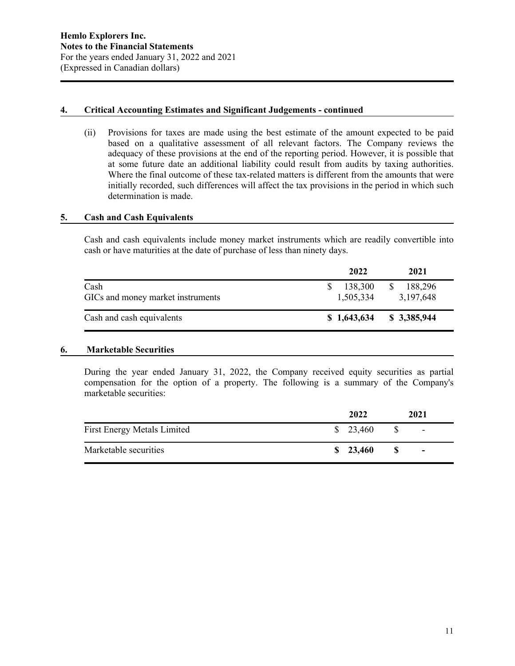## **4. Critical Accounting Estimates and Significant Judgements - continued**

(ii) Provisions for taxes are made using the best estimate of the amount expected to be paid based on a qualitative assessment of all relevant factors. The Company reviews the adequacy of these provisions at the end of the reporting period. However, it is possible that at some future date an additional liability could result from audits by taxing authorities. Where the final outcome of these tax-related matters is different from the amounts that were initially recorded, such differences will affect the tax provisions in the period in which such determination is made.

## **5. Cash and Cash Equivalents**

Cash and cash equivalents include money market instruments which are readily convertible into cash or have maturities at the date of purchase of less than ninety days.

|                                           | 2022                 | 2021                                  |
|-------------------------------------------|----------------------|---------------------------------------|
| Cash<br>GICs and money market instruments | 138,300<br>1,505,334 | <sup>\$</sup><br>188,296<br>3,197,648 |
| Cash and cash equivalents                 | \$1,643,634          | \$ 3,385,944                          |

## **6. Marketable Securities**

During the year ended January 31, 2022, the Company received equity securities as partial compensation for the option of a property. The following is a summary of the Company's marketable securities:

|                                    | 2022               |   | 2021                     |
|------------------------------------|--------------------|---|--------------------------|
| <b>First Energy Metals Limited</b> | $\frac{$}{23,460}$ |   | $\overline{\phantom{a}}$ |
| Marketable securities              | \$23,460           | S | $\overline{\phantom{a}}$ |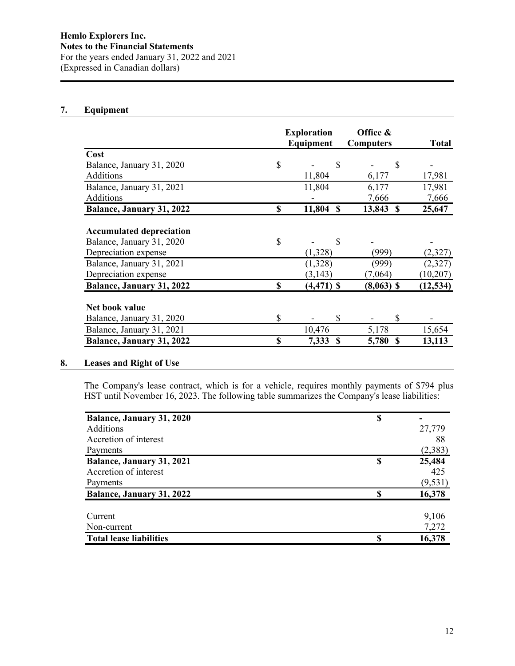# **7. Equipment**

|                                  | <b>Exploration</b> |               |               | Office &         |               |              |
|----------------------------------|--------------------|---------------|---------------|------------------|---------------|--------------|
|                                  |                    | Equipment     |               | <b>Computers</b> |               | <b>Total</b> |
| Cost                             |                    |               |               |                  |               |              |
| Balance, January 31, 2020        | \$                 |               | \$            |                  | $\mathcal{S}$ |              |
| Additions                        |                    | 11,804        |               | 6,177            |               | 17,981       |
| Balance, January 31, 2021        |                    | 11,804        |               | 6,177            |               | 17,981       |
| Additions                        |                    |               |               | 7,666            |               | 7,666        |
| Balance, January 31, 2022        | \$                 | 11,804        | <sup>\$</sup> | 13,843           | -S            | 25,647       |
| <b>Accumulated depreciation</b>  |                    |               |               |                  |               |              |
| Balance, January 31, 2020        | \$                 |               | \$            |                  |               |              |
| Depreciation expense             |                    | (1,328)       |               | (999)            |               | (2,327)      |
| Balance, January 31, 2021        |                    | (1,328)       |               | (999)            |               | (2,327)      |
| Depreciation expense             |                    | (3, 143)      |               | (7,064)          |               | (10, 207)    |
| <b>Balance, January 31, 2022</b> | \$                 | $(4, 471)$ \$ |               | $(8,063)$ \$     |               | (12, 534)    |
| Net book value                   |                    |               |               |                  |               |              |
| Balance, January 31, 2020        | $\mathbb{S}$       |               | \$            |                  | \$            |              |
| Balance, January 31, 2021        |                    | 10,476        |               | 5,178            |               | 15,654       |
| <b>Balance, January 31, 2022</b> | S                  | 7,333         | <b>S</b>      | 5,780            | <b>S</b>      | 13,113       |

# **8. Leases and Right of Use**

The Company's lease contract, which is for a vehicle, requires monthly payments of \$794 plus HST until November 16, 2023. The following table summarizes the Company's lease liabilities:

| Balance, January 31, 2020        | \$ |          |
|----------------------------------|----|----------|
| Additions                        |    | 27,779   |
| Accretion of interest            |    | 88       |
| Payments                         |    | (2,383)  |
| Balance, January 31, 2021        | \$ | 25,484   |
| Accretion of interest            |    | 425      |
| Payments                         |    | (9, 531) |
| <b>Balance, January 31, 2022</b> | \$ | 16,378   |
| Current                          |    | 9,106    |
| Non-current                      |    | 7,272    |
| <b>Total lease liabilities</b>   | S  | 16,378   |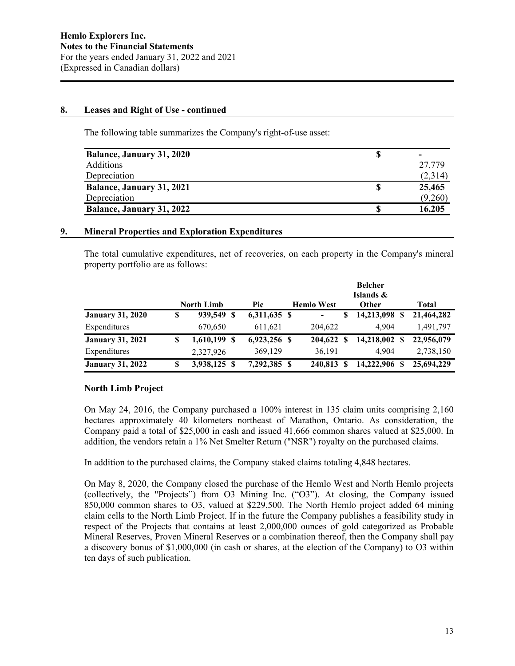### **8. Leases and Right of Use - continued**

The following table summarizes the Company's right-of-use asset:

| <b>Balance, January 31, 2020</b> |         |
|----------------------------------|---------|
| <b>Additions</b>                 | 27,779  |
| Depreciation                     | (2,314) |
| <b>Balance, January 31, 2021</b> | 25,465  |
| Depreciation                     | (9,260) |
| <b>Balance, January 31, 2022</b> | 16,205  |

### **9. Mineral Properties and Exploration Expenditures**

The total cumulative expenditures, net of recoveries, on each property in the Company's mineral property portfolio are as follows:

|                         |   |                   |                |                   |   | <b>Belcher</b><br>Islands & |              |
|-------------------------|---|-------------------|----------------|-------------------|---|-----------------------------|--------------|
|                         |   | <b>North Limb</b> | <b>Pic</b>     | <b>Hemlo West</b> |   | Other                       | <b>Total</b> |
| <b>January 31, 2020</b> | S | 939,549 \$        | $6,311,635$ \$ | -                 | S | 14,213,098 \$               | 21,464,282   |
| Expenditures            |   | 670,650           | 611,621        | 204,622           |   | 4.904                       | 1,491,797    |
| <b>January 31, 2021</b> | S | $1,610,199$ \$    | 6,923,256 \$   | 204,622 \$        |   | 14,218,002 \$               | 22,956,079   |
| Expenditures            |   | 2,327,926         | 369,129        | 36,191            |   | 4.904                       | 2,738,150    |
| <b>January 31, 2022</b> | S | 3,938,125 \$      | 7,292,385 \$   | 240,813           |   | 14,222,906                  | 25,694,229   |

## **North Limb Project**

On May 24, 2016, the Company purchased a 100% interest in 135 claim units comprising 2,160 hectares approximately 40 kilometers northeast of Marathon, Ontario. As consideration, the Company paid a total of \$25,000 in cash and issued 41,666 common shares valued at \$25,000. In addition, the vendors retain a 1% Net Smelter Return ("NSR") royalty on the purchased claims.

In addition to the purchased claims, the Company staked claims totaling 4,848 hectares.

On May 8, 2020, the Company closed the purchase of the Hemlo West and North Hemlo projects (collectively, the "Projects") from O3 Mining Inc. ("O3"). At closing, the Company issued 850,000 common shares to O3, valued at \$229,500. The North Hemlo project added 64 mining claim cells to the North Limb Project. If in the future the Company publishes a feasibility study in respect of the Projects that contains at least 2,000,000 ounces of gold categorized as Probable Mineral Reserves, Proven Mineral Reserves or a combination thereof, then the Company shall pay a discovery bonus of \$1,000,000 (in cash or shares, at the election of the Company) to O3 within ten days of such publication.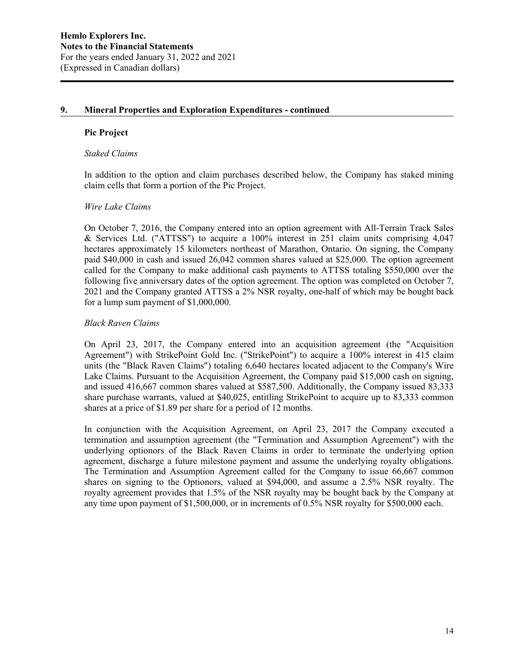## **9. Mineral Properties and Exploration Expenditures - continued**

### **Pic Project**

#### *Staked Claims*

In addition to the option and claim purchases described below, the Company has staked mining claim cells that form a portion of the Pic Project.

#### *Wire Lake Claims*

On October 7, 2016, the Company entered into an option agreement with All-Terrain Track Sales & Services Ltd. ("ATTSS") to acquire a 100% interest in 251 claim units comprising 4,047 hectares approximately 15 kilometers northeast of Marathon, Ontario. On signing, the Company paid \$40,000 in cash and issued 26,042 common shares valued at \$25,000. The option agreement called for the Company to make additional cash payments to ATTSS totaling \$550,000 over the following five anniversary dates of the option agreement. The option was completed on October 7, 2021 and the Company granted ATTSS a 2% NSR royalty, one-half of which may be bought back for a lump sum payment of \$1,000,000.

### *Black Raven Claims*

On April 23, 2017, the Company entered into an acquisition agreement (the "Acquisition Agreement") with StrikePoint Gold Inc. ("StrikePoint") to acquire a 100% interest in 415 claim units (the "Black Raven Claims") totaling 6,640 hectares located adjacent to the Company's Wire Lake Claims. Pursuant to the Acquisition Agreement, the Company paid \$15,000 cash on signing, and issued 416,667 common shares valued at \$587,500. Additionally, the Company issued 83,333 share purchase warrants, valued at \$40,025, entitling StrikePoint to acquire up to 83,333 common shares at a price of \$1.89 per share for a period of 12 months.

In conjunction with the Acquisition Agreement, on April 23, 2017 the Company executed a termination and assumption agreement (the "Termination and Assumption Agreement") with the underlying optionors of the Black Raven Claims in order to terminate the underlying option agreement, discharge a future milestone payment and assume the underlying royalty obligations. The Termination and Assumption Agreement called for the Company to issue 66,667 common shares on signing to the Optionors, valued at \$94,000, and assume a 2.5% NSR royalty. The royalty agreement provides that 1.5% of the NSR royalty may be bought back by the Company at any time upon payment of \$1,500,000, or in increments of 0.5% NSR royalty for \$500,000 each.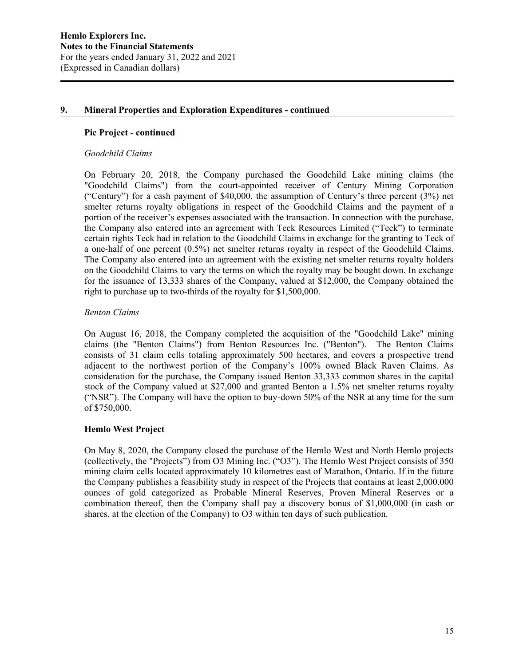## **9. Mineral Properties and Exploration Expenditures - continued**

# **Pic Project - continued**

### *Goodchild Claims*

On February 20, 2018, the Company purchased the Goodchild Lake mining claims (the "Goodchild Claims") from the court-appointed receiver of Century Mining Corporation ("Century") for a cash payment of \$40,000, the assumption of Century's three percent (3%) net smelter returns royalty obligations in respect of the Goodchild Claims and the payment of a portion of the receiver's expenses associated with the transaction. In connection with the purchase, the Company also entered into an agreement with Teck Resources Limited ("Teck") to terminate certain rights Teck had in relation to the Goodchild Claims in exchange for the granting to Teck of a one-half of one percent (0.5%) net smelter returns royalty in respect of the Goodchild Claims. The Company also entered into an agreement with the existing net smelter returns royalty holders on the Goodchild Claims to vary the terms on which the royalty may be bought down. In exchange for the issuance of 13,333 shares of the Company, valued at \$12,000, the Company obtained the right to purchase up to two-thirds of the royalty for \$1,500,000.

## *Benton Claims*

On August 16, 2018, the Company completed the acquisition of the "Goodchild Lake" mining claims (the "Benton Claims") from Benton Resources Inc. ("Benton"). The Benton Claims consists of 31 claim cells totaling approximately 500 hectares, and covers a prospective trend adjacent to the northwest portion of the Company's 100% owned Black Raven Claims. As consideration for the purchase, the Company issued Benton 33,333 common shares in the capital stock of the Company valued at \$27,000 and granted Benton a 1.5% net smelter returns royalty ("NSR"). The Company will have the option to buy-down 50% of the NSR at any time for the sum of \$750,000.

## **Hemlo West Project**

On May 8, 2020, the Company closed the purchase of the Hemlo West and North Hemlo projects (collectively, the "Projects") from O3 Mining Inc. ("O3"). The Hemlo West Project consists of 350 mining claim cells located approximately 10 kilometres east of Marathon, Ontario. If in the future the Company publishes a feasibility study in respect of the Projects that contains at least 2,000,000 ounces of gold categorized as Probable Mineral Reserves, Proven Mineral Reserves or a combination thereof, then the Company shall pay a discovery bonus of \$1,000,000 (in cash or shares, at the election of the Company) to O3 within ten days of such publication.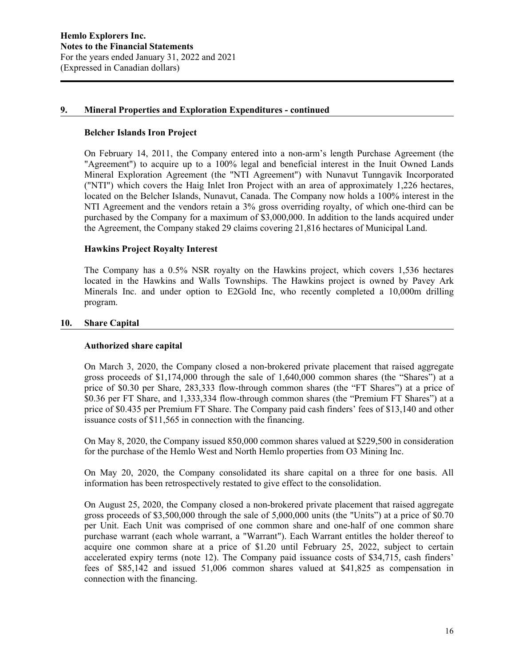### **9. Mineral Properties and Exploration Expenditures - continued**

#### **Belcher Islands Iron Project**

On February 14, 2011, the Company entered into a non-arm's length Purchase Agreement (the "Agreement") to acquire up to a 100% legal and beneficial interest in the Inuit Owned Lands Mineral Exploration Agreement (the "NTI Agreement") with Nunavut Tunngavik Incorporated ("NTI") which covers the Haig Inlet Iron Project with an area of approximately 1,226 hectares, located on the Belcher Islands, Nunavut, Canada. The Company now holds a 100% interest in the NTI Agreement and the vendors retain a 3% gross overriding royalty, of which one-third can be purchased by the Company for a maximum of \$3,000,000. In addition to the lands acquired under the Agreement, the Company staked 29 claims covering 21,816 hectares of Municipal Land.

### **Hawkins Project Royalty Interest**

The Company has a 0.5% NSR royalty on the Hawkins project, which covers 1,536 hectares located in the Hawkins and Walls Townships. The Hawkins project is owned by Pavey Ark Minerals Inc. and under option to E2Gold Inc, who recently completed a 10,000m drilling program.

### **10. Share Capital**

#### **Authorized share capital**

On March 3, 2020, the Company closed a non-brokered private placement that raised aggregate gross proceeds of \$1,174,000 through the sale of 1,640,000 common shares (the "Shares") at a price of \$0.30 per Share, 283,333 flow-through common shares (the "FT Shares") at a price of \$0.36 per FT Share, and 1,333,334 flow-through common shares (the "Premium FT Shares") at a price of \$0.435 per Premium FT Share. The Company paid cash finders' fees of \$13,140 and other issuance costs of \$11,565 in connection with the financing.

On May 8, 2020, the Company issued 850,000 common shares valued at \$229,500 in consideration for the purchase of the Hemlo West and North Hemlo properties from O3 Mining Inc.

On May 20, 2020, the Company consolidated its share capital on a three for one basis. All information has been retrospectively restated to give effect to the consolidation.

On August 25, 2020, the Company closed a non-brokered private placement that raised aggregate gross proceeds of \$3,500,000 through the sale of 5,000,000 units (the "Units") at a price of \$0.70 per Unit. Each Unit was comprised of one common share and one-half of one common share purchase warrant (each whole warrant, a "Warrant"). Each Warrant entitles the holder thereof to acquire one common share at a price of \$1.20 until February 25, 2022, subject to certain accelerated expiry terms (note 12). The Company paid issuance costs of \$34,715, cash finders' fees of \$85,142 and issued 51,006 common shares valued at \$41,825 as compensation in connection with the financing.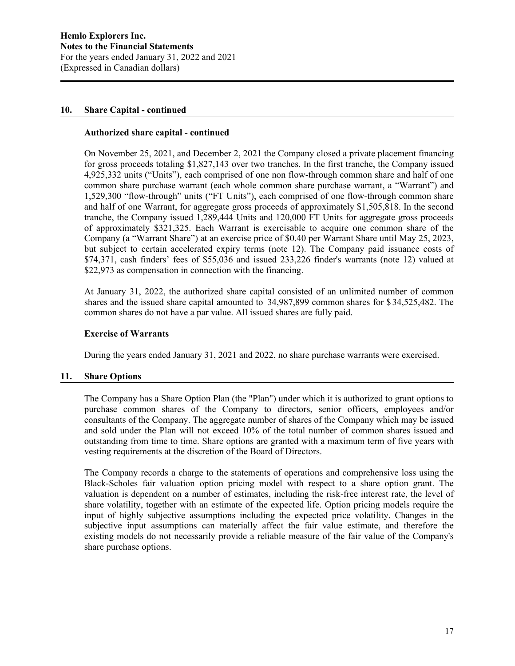### **10. Share Capital - continued**

### **Authorized share capital - continued**

On November 25, 2021, and December 2, 2021 the Company closed a private placement financing for gross proceeds totaling \$1,827,143 over two tranches. In the first tranche, the Company issued 4,925,332 units ("Units"), each comprised of one non flow-through common share and half of one common share purchase warrant (each whole common share purchase warrant, a "Warrant") and 1,529,300 "flow-through" units ("FT Units"), each comprised of one flow-through common share and half of one Warrant, for aggregate gross proceeds of approximately \$1,505,818. In the second tranche, the Company issued 1,289,444 Units and 120,000 FT Units for aggregate gross proceeds of approximately \$321,325. Each Warrant is exercisable to acquire one common share of the Company (a "Warrant Share") at an exercise price of \$0.40 per Warrant Share until May 25, 2023, but subject to certain accelerated expiry terms (note 12). The Company paid issuance costs of \$74,371, cash finders' fees of \$55,036 and issued 233,226 finder's warrants (note 12) valued at \$22,973 as compensation in connection with the financing.

At January 31, 2022, the authorized share capital consisted of an unlimited number of common shares and the issued share capital amounted to 34,987,899 common shares for \$ 34,525,482. The common shares do not have a par value. All issued shares are fully paid.

#### **Exercise of Warrants**

During the years ended January 31, 2021 and 2022, no share purchase warrants were exercised.

#### **11. Share Options**

The Company has a Share Option Plan (the "Plan") under which it is authorized to grant options to purchase common shares of the Company to directors, senior officers, employees and/or consultants of the Company. The aggregate number of shares of the Company which may be issued and sold under the Plan will not exceed 10% of the total number of common shares issued and outstanding from time to time. Share options are granted with a maximum term of five years with vesting requirements at the discretion of the Board of Directors.

The Company records a charge to the statements of operations and comprehensive loss using the Black-Scholes fair valuation option pricing model with respect to a share option grant. The valuation is dependent on a number of estimates, including the risk-free interest rate, the level of share volatility, together with an estimate of the expected life. Option pricing models require the input of highly subjective assumptions including the expected price volatility. Changes in the subjective input assumptions can materially affect the fair value estimate, and therefore the existing models do not necessarily provide a reliable measure of the fair value of the Company's share purchase options.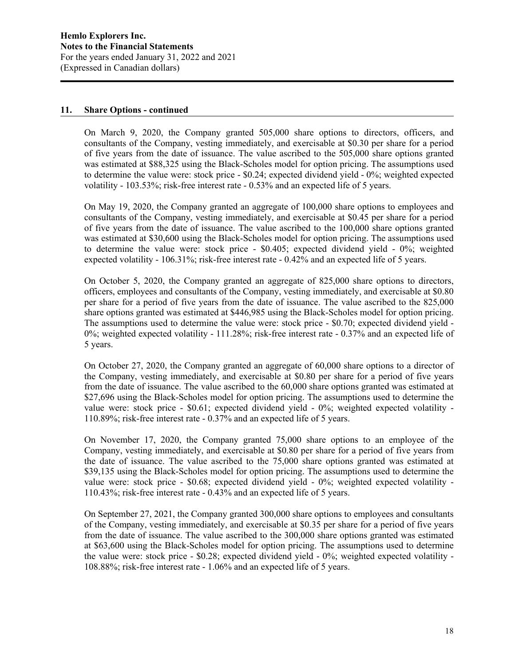### **11. Share Options - continued**

On March 9, 2020, the Company granted 505,000 share options to directors, officers, and consultants of the Company, vesting immediately, and exercisable at \$0.30 per share for a period of five years from the date of issuance. The value ascribed to the 505,000 share options granted was estimated at \$88,325 using the Black-Scholes model for option pricing. The assumptions used to determine the value were: stock price - \$0.24; expected dividend yield - 0%; weighted expected volatility - 103.53%; risk-free interest rate - 0.53% and an expected life of 5 years.

On May 19, 2020, the Company granted an aggregate of 100,000 share options to employees and consultants of the Company, vesting immediately, and exercisable at \$0.45 per share for a period of five years from the date of issuance. The value ascribed to the 100,000 share options granted was estimated at \$30,600 using the Black-Scholes model for option pricing. The assumptions used to determine the value were: stock price - \$0.405; expected dividend yield - 0%; weighted expected volatility - 106.31%; risk-free interest rate - 0.42% and an expected life of 5 years.

On October 5, 2020, the Company granted an aggregate of 825,000 share options to directors, officers, employees and consultants of the Company, vesting immediately, and exercisable at \$0.80 per share for a period of five years from the date of issuance. The value ascribed to the 825,000 share options granted was estimated at \$446,985 using the Black-Scholes model for option pricing. The assumptions used to determine the value were: stock price - \$0.70; expected dividend yield - 0%; weighted expected volatility - 111.28%; risk-free interest rate - 0.37% and an expected life of 5 years.

On October 27, 2020, the Company granted an aggregate of 60,000 share options to a director of the Company, vesting immediately, and exercisable at \$0.80 per share for a period of five years from the date of issuance. The value ascribed to the 60,000 share options granted was estimated at \$27,696 using the Black-Scholes model for option pricing. The assumptions used to determine the value were: stock price - \$0.61; expected dividend yield - 0%; weighted expected volatility - 110.89%; risk-free interest rate - 0.37% and an expected life of 5 years.

On November 17, 2020, the Company granted 75,000 share options to an employee of the Company, vesting immediately, and exercisable at \$0.80 per share for a period of five years from the date of issuance. The value ascribed to the 75,000 share options granted was estimated at \$39,135 using the Black-Scholes model for option pricing. The assumptions used to determine the value were: stock price - \$0.68; expected dividend yield - 0%; weighted expected volatility - 110.43%; risk-free interest rate - 0.43% and an expected life of 5 years.

On September 27, 2021, the Company granted 300,000 share options to employees and consultants of the Company, vesting immediately, and exercisable at \$0.35 per share for a period of five years from the date of issuance. The value ascribed to the 300,000 share options granted was estimated at \$63,600 using the Black-Scholes model for option pricing. The assumptions used to determine the value were: stock price - \$0.28; expected dividend yield - 0%; weighted expected volatility - 108.88%; risk-free interest rate - 1.06% and an expected life of 5 years.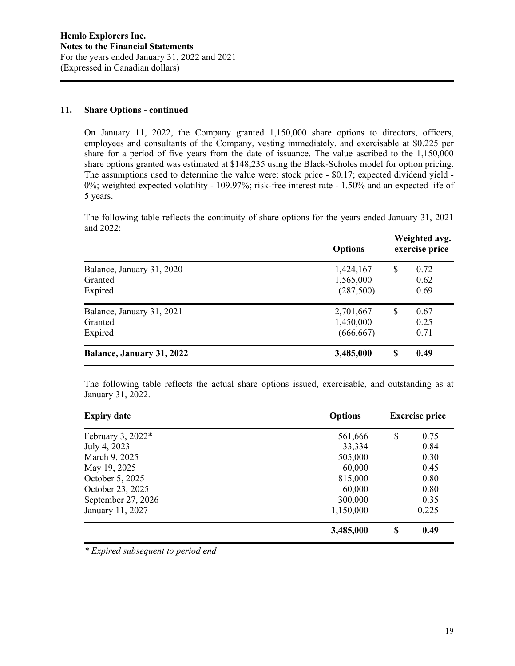### **11. Share Options - continued**

On January 11, 2022, the Company granted 1,150,000 share options to directors, officers, employees and consultants of the Company, vesting immediately, and exercisable at \$0.225 per share for a period of five years from the date of issuance. The value ascribed to the 1,150,000 share options granted was estimated at \$148,235 using the Black-Scholes model for option pricing. The assumptions used to determine the value were: stock price - \$0.17; expected dividend yield - 0%; weighted expected volatility - 109.97%; risk-free interest rate - 1.50% and an expected life of 5 years.

The following table reflects the continuity of share options for the years ended January 31, 2021 and 2022:

|                                      | <b>Options</b>         | Weighted avg.<br>exercise price |              |  |
|--------------------------------------|------------------------|---------------------------------|--------------|--|
| Balance, January 31, 2020<br>Granted | 1,424,167<br>1,565,000 | S                               | 0.72<br>0.62 |  |
| Expired                              | (287,500)              |                                 | 0.69         |  |
| Balance, January 31, 2021            | 2,701,667              | S                               | 0.67         |  |
| Granted                              | 1,450,000              |                                 | 0.25         |  |
| Expired                              | (666, 667)             |                                 | 0.71         |  |
| <b>Balance, January 31, 2022</b>     | 3,485,000              | \$                              | 0.49         |  |

The following table reflects the actual share options issued, exercisable, and outstanding as at January 31, 2022.

| <b>Expiry date</b> | <b>Options</b> | <b>Exercise price</b> |       |  |
|--------------------|----------------|-----------------------|-------|--|
| February 3, 2022*  | 561,666        | \$                    | 0.75  |  |
| July 4, 2023       | 33,334         |                       | 0.84  |  |
| March 9, 2025      | 505,000        |                       | 0.30  |  |
| May 19, 2025       | 60,000         |                       |       |  |
| October 5, 2025    | 815,000        |                       |       |  |
| October 23, 2025   | 60,000         |                       | 0.80  |  |
| September 27, 2026 | 300,000        |                       | 0.35  |  |
| January 11, 2027   | 1,150,000      |                       | 0.225 |  |
|                    | 3,485,000      | \$                    | 0.49  |  |

*\* Expired subsequent to period end*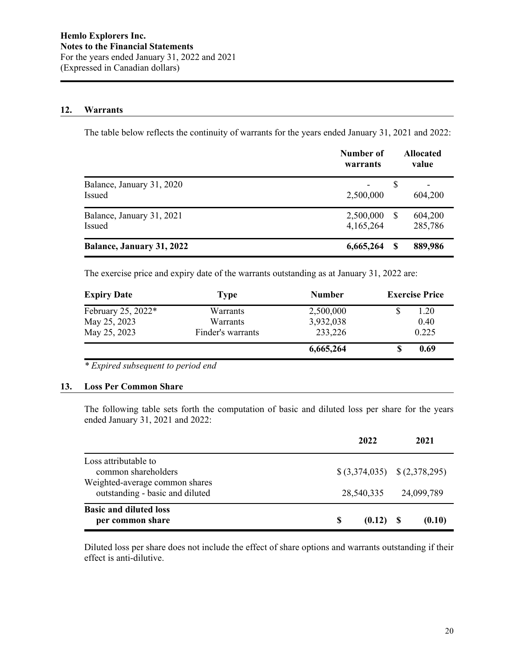#### **12. Warrants**

The table below reflects the continuity of warrants for the years ended January 31, 2021 and 2022:

|                                            | Number of<br>warrants  | <b>Allocated</b><br>value |
|--------------------------------------------|------------------------|---------------------------|
| Balance, January 31, 2020<br><b>Issued</b> | 2,500,000              | S<br>604,200              |
| Balance, January 31, 2021<br>Issued        | 2,500,000<br>4,165,264 | 604,200<br>-S<br>285,786  |
| <b>Balance, January 31, 2022</b>           | 6,665,264              | 889,986<br>S              |

The exercise price and expiry date of the warrants outstanding as at January 31, 2022 are:

| <b>Expiry Date</b> | <b>Type</b>       | <b>Number</b> | <b>Exercise Price</b> |  |  |
|--------------------|-------------------|---------------|-----------------------|--|--|
| February 25, 2022* | Warrants          | 2,500,000     | 1.20                  |  |  |
| May 25, 2023       | <b>Warrants</b>   | 3,932,038     |                       |  |  |
| May 25, 2023       | Finder's warrants | 233,226       | 0.225                 |  |  |
|                    |                   | 6,665,264     | 0.69                  |  |  |

*\* Expired subsequent to period end*

#### **13. Loss Per Common Share**

The following table sets forth the computation of basic and diluted loss per share for the years ended January 31, 2021 and 2022:

|                                                                   | 2022          | 2021                        |
|-------------------------------------------------------------------|---------------|-----------------------------|
| Loss attributable to<br>common shareholders                       |               | $(3,374,035)$ $(2,378,295)$ |
| Weighted-average common shares<br>outstanding - basic and diluted |               | 28,540,335 24,099,789       |
| <b>Basic and diluted loss</b><br>per common share                 | S<br>(0.12) S | (0.10)                      |

Diluted loss per share does not include the effect of share options and warrants outstanding if their effect is anti-dilutive.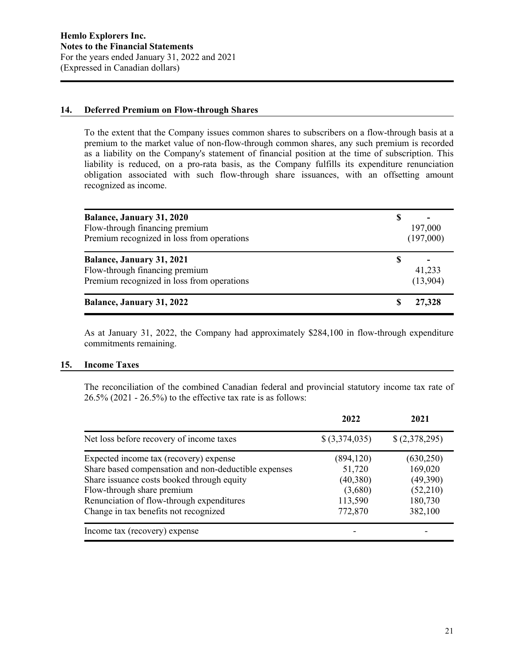### **14. Deferred Premium on Flow-through Shares**

To the extent that the Company issues common shares to subscribers on a flow-through basis at a premium to the market value of non-flow-through common shares, any such premium is recorded as a liability on the Company's statement of financial position at the time of subscription. This liability is reduced, on a pro-rata basis, as the Company fulfills its expenditure renunciation obligation associated with such flow-through share issuances, with an offsetting amount recognized as income.

| <b>Balance, January 31, 2020</b><br>Flow-through financing premium<br>Premium recognized in loss from operations | 197,000<br>(197,000) |
|------------------------------------------------------------------------------------------------------------------|----------------------|
| <b>Balance, January 31, 2021</b><br>Flow-through financing premium<br>Premium recognized in loss from operations | 41,233<br>(13,904)   |
| <b>Balance, January 31, 2022</b>                                                                                 | 27,328               |

As at January 31, 2022, the Company had approximately \$284,100 in flow-through expenditure commitments remaining.

#### **15. Income Taxes**

The reconciliation of the combined Canadian federal and provincial statutory income tax rate of 26.5% (2021 - 26.5%) to the effective tax rate is as follows:

|                                                      | 2022            | 2021          |
|------------------------------------------------------|-----------------|---------------|
| Net loss before recovery of income taxes             | $$$ (3,374,035) | \$(2,378,295) |
| Expected income tax (recovery) expense               | (894, 120)      | (630, 250)    |
| Share based compensation and non-deductible expenses | 51,720          | 169,020       |
| Share issuance costs booked through equity           | (40, 380)       | (49,390)      |
| Flow-through share premium                           | (3,680)         | (52,210)      |
| Renunciation of flow-through expenditures            | 113,590         | 180,730       |
| Change in tax benefits not recognized                | 772,870         | 382,100       |
| Income tax (recovery) expense                        |                 |               |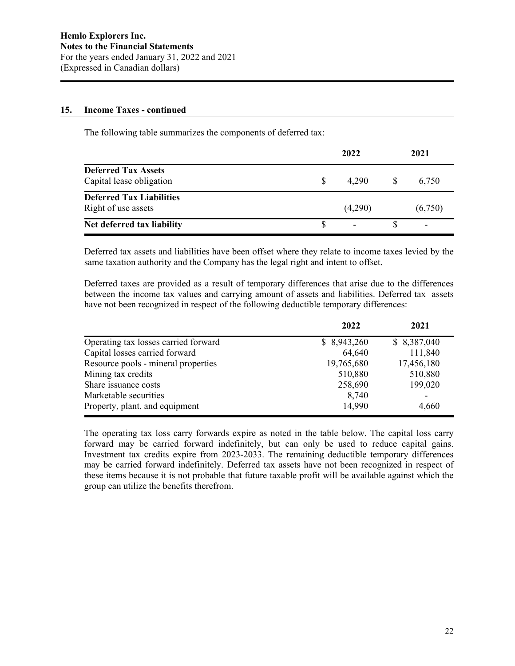### **15. Income Taxes - continued**

The following table summarizes the components of deferred tax:

|                                                        | 2022 |         |              | 2021    |  |  |
|--------------------------------------------------------|------|---------|--------------|---------|--|--|
| <b>Deferred Tax Assets</b><br>Capital lease obligation | \$.  | 4.290   | <sup>S</sup> | 6,750   |  |  |
| <b>Deferred Tax Liabilities</b><br>Right of use assets |      | (4,290) |              | (6,750) |  |  |
| Net deferred tax liability                             |      |         |              |         |  |  |

Deferred tax assets and liabilities have been offset where they relate to income taxes levied by the same taxation authority and the Company has the legal right and intent to offset.

Deferred taxes are provided as a result of temporary differences that arise due to the differences between the income tax values and carrying amount of assets and liabilities. Deferred tax assets have not been recognized in respect of the following deductible temporary differences:

|                                      | 2022        | 2021        |
|--------------------------------------|-------------|-------------|
| Operating tax losses carried forward | \$8,943,260 | \$8,387,040 |
| Capital losses carried forward       | 64,640      | 111,840     |
| Resource pools - mineral properties  | 19,765,680  | 17,456,180  |
| Mining tax credits                   | 510,880     | 510,880     |
| Share issuance costs                 | 258,690     | 199,020     |
| Marketable securities                | 8,740       |             |
| Property, plant, and equipment       | 14,990      | 4,660       |

The operating tax loss carry forwards expire as noted in the table below. The capital loss carry forward may be carried forward indefinitely, but can only be used to reduce capital gains. Investment tax credits expire from 2023-2033. The remaining deductible temporary differences may be carried forward indefinitely. Deferred tax assets have not been recognized in respect of these items because it is not probable that future taxable profit will be available against which the group can utilize the benefits therefrom.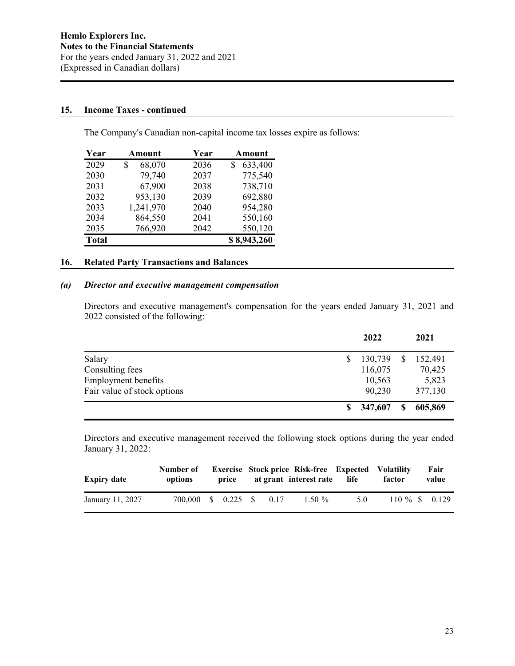### **15. Income Taxes - continued**

The Company's Canadian non-capital income tax losses expire as follows:

| Year         | Amount       | Year | Amount       |  |  |
|--------------|--------------|------|--------------|--|--|
| 2029         | 68,070<br>\$ | 2036 | 633,400<br>S |  |  |
| 2030         | 79,740       | 2037 | 775,540      |  |  |
| 2031         | 67,900       | 2038 | 738,710      |  |  |
| 2032         | 953,130      | 2039 | 692,880      |  |  |
| 2033         | 1,241,970    | 2040 | 954,280      |  |  |
| 2034         | 864,550      | 2041 | 550,160      |  |  |
| 2035         | 766,920      | 2042 | 550,120      |  |  |
| <b>Total</b> |              |      | \$8,943,260  |  |  |

# **16. Related Party Transactions and Balances**

## *(a) Director and executive management compensation*

Directors and executive management's compensation for the years ended January 31, 2021 and 2022 consisted of the following:

|                             | 2022      |   | 2021    |
|-----------------------------|-----------|---|---------|
| Salary                      | 130,739   |   | 152,491 |
| Consulting fees             | 116,075   |   | 70,425  |
| <b>Employment benefits</b>  | 10,563    |   | 5,823   |
| Fair value of stock options | 90,230    |   | 377,130 |
|                             | \$347,607 | S | 605,869 |

Directors and executive management received the following stock options during the year ended January 31, 2022:

| <b>Expiry date</b> | Number of<br>options |  |      | <b>Exercise Stock price Risk-free Expected Volatility</b><br>price at grant interest rate life |     | factor           | Fair<br>value |
|--------------------|----------------------|--|------|------------------------------------------------------------------------------------------------|-----|------------------|---------------|
| January 11, 2027   | 700,000 \$ 0.225 \$  |  | 0.17 | $1.50 \%$                                                                                      | 5.0 | $110\%$ \$ 0.129 |               |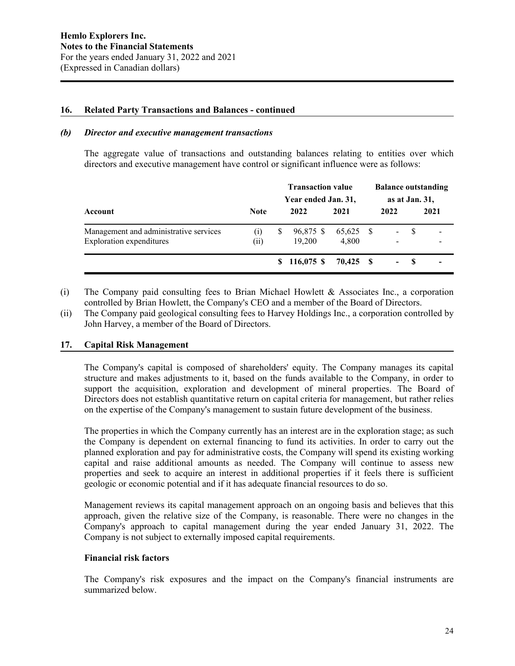### **16. Related Party Transactions and Balances - continued**

#### *(b) Director and executive management transactions*

The aggregate value of transactions and outstanding balances relating to entities over which directors and executive management have control or significant influence were as follows:

|                                        |                   | <b>Transaction value</b><br>Year ended Jan. 31, |               | <b>Balance outstanding</b><br>as at Jan. 31, |  |                          |     |      |
|----------------------------------------|-------------------|-------------------------------------------------|---------------|----------------------------------------------|--|--------------------------|-----|------|
| Account                                | <b>Note</b>       |                                                 | 2022          | 2021                                         |  | 2022                     |     | 2021 |
| Management and administrative services | $\left( 1\right)$ | S                                               | 96,875 \$     | 65,625 \$                                    |  | $\blacksquare$           | - S |      |
| <b>Exploration</b> expenditures        | (ii)              |                                                 | 19.200        | 4.800                                        |  | -                        |     |      |
|                                        |                   |                                                 | $$116,075$ \$ | 70.425 \$                                    |  | $\overline{\phantom{0}}$ | - S |      |

(i) The Company paid consulting fees to Brian Michael Howlett & Associates Inc., a corporation controlled by Brian Howlett, the Company's CEO and a member of the Board of Directors.

(ii) The Company paid geological consulting fees to Harvey Holdings Inc., a corporation controlled by John Harvey, a member of the Board of Directors.

#### **17. Capital Risk Management**

The Company's capital is composed of shareholders' equity. The Company manages its capital structure and makes adjustments to it, based on the funds available to the Company, in order to support the acquisition, exploration and development of mineral properties. The Board of Directors does not establish quantitative return on capital criteria for management, but rather relies on the expertise of the Company's management to sustain future development of the business.

The properties in which the Company currently has an interest are in the exploration stage; as such the Company is dependent on external financing to fund its activities. In order to carry out the planned exploration and pay for administrative costs, the Company will spend its existing working capital and raise additional amounts as needed. The Company will continue to assess new properties and seek to acquire an interest in additional properties if it feels there is sufficient geologic or economic potential and if it has adequate financial resources to do so.

Management reviews its capital management approach on an ongoing basis and believes that this approach, given the relative size of the Company, is reasonable. There were no changes in the Company's approach to capital management during the year ended January 31, 2022. The Company is not subject to externally imposed capital requirements.

#### **Financial risk factors**

The Company's risk exposures and the impact on the Company's financial instruments are summarized below.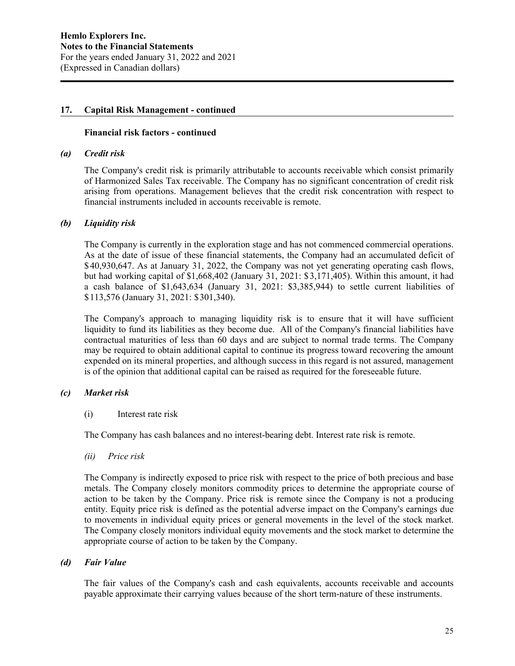### **17. Capital Risk Management - continued**

### **Financial risk factors - continued**

#### *(a) Credit risk*

The Company's credit risk is primarily attributable to accounts receivable which consist primarily of Harmonized Sales Tax receivable. The Company has no significant concentration of credit risk arising from operations. Management believes that the credit risk concentration with respect to financial instruments included in accounts receivable is remote.

### *(b) Liquidity risk*

The Company is currently in the exploration stage and has not commenced commercial operations. As at the date of issue of these financial statements, the Company had an accumulated deficit of \$40,930,647. As at January 31, 2022, the Company was not yet generating operating cash flows, but had working capital of \$1,668,402 (January 31, 2021: \$3,171,405). Within this amount, it had a cash balance of \$1,643,634 (January 31, 2021: \$3,385,944) to settle current liabilities of \$113,576 (January 31, 2021: \$301,340).

The Company's approach to managing liquidity risk is to ensure that it will have sufficient liquidity to fund its liabilities as they become due. All of the Company's financial liabilities have contractual maturities of less than 60 days and are subject to normal trade terms. The Company may be required to obtain additional capital to continue its progress toward recovering the amount expended on its mineral properties, and although success in this regard is not assured, management is of the opinion that additional capital can be raised as required for the foreseeable future.

## *(c) Market risk*

(i) Interest rate risk

The Company has cash balances and no interest-bearing debt. Interest rate risk is remote.

*(ii) Price risk*

The Company is indirectly exposed to price risk with respect to the price of both precious and base metals. The Company closely monitors commodity prices to determine the appropriate course of action to be taken by the Company. Price risk is remote since the Company is not a producing entity. Equity price risk is defined as the potential adverse impact on the Company's earnings due to movements in individual equity prices or general movements in the level of the stock market. The Company closely monitors individual equity movements and the stock market to determine the appropriate course of action to be taken by the Company.

## *(d) Fair Value*

The fair values of the Company's cash and cash equivalents, accounts receivable and accounts payable approximate their carrying values because of the short term-nature of these instruments.